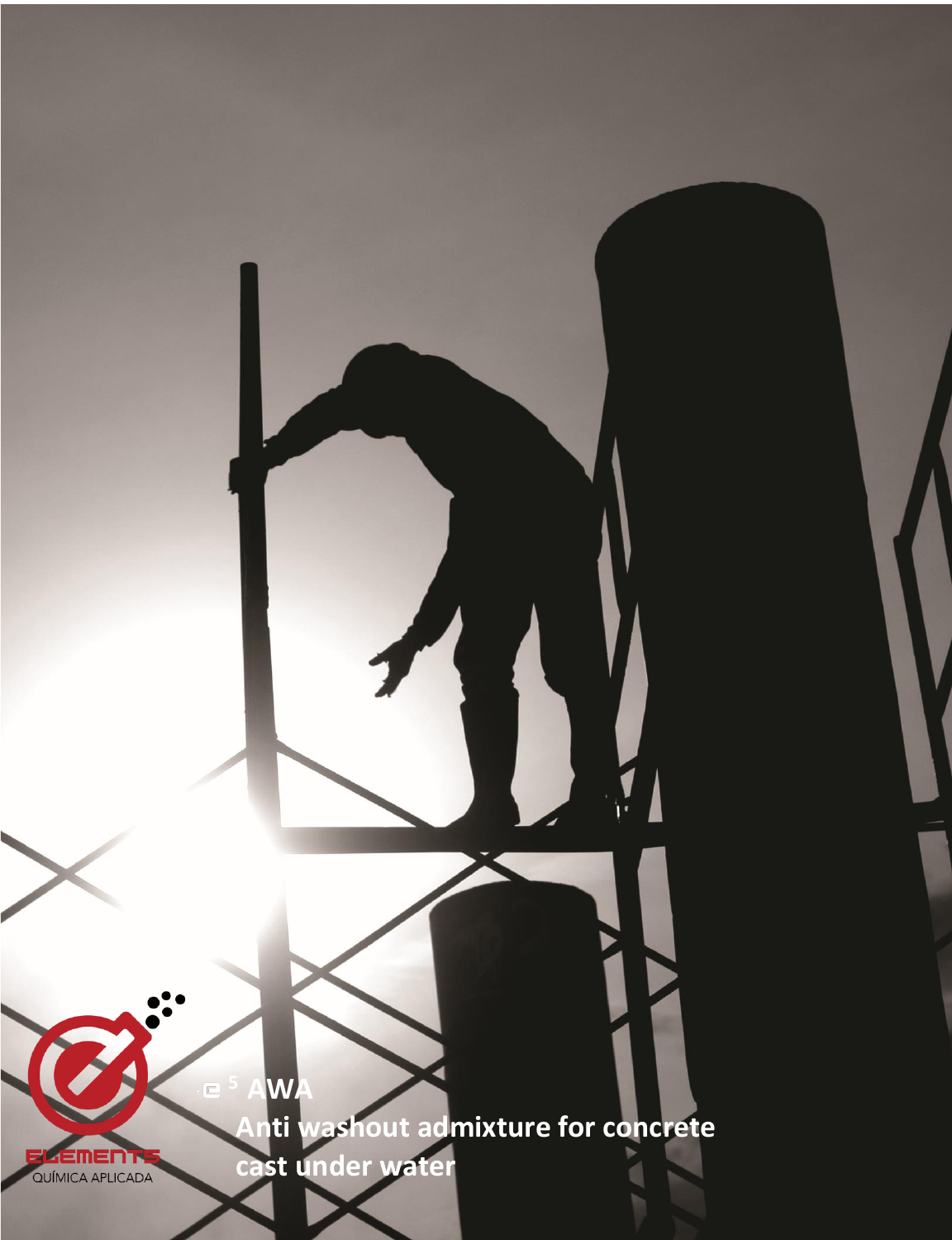

 **cast under water**

. **<sup>5</sup> AWA**

**ELEMENTS**<br>QUÍMICA APLICADA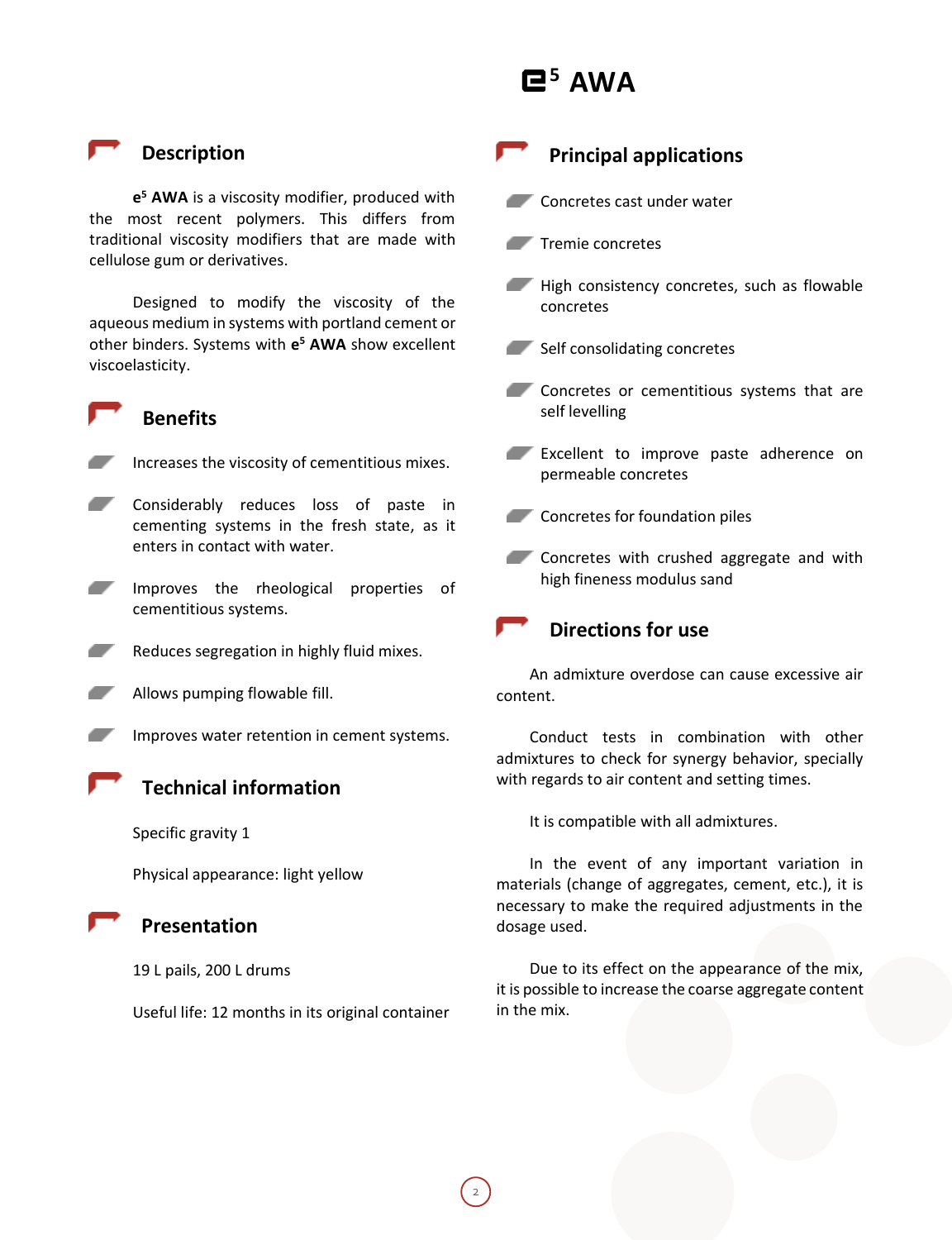# **<sup>5</sup> AWA**

 **Description**

 **Benefits**

**e <sup>5</sup> AWA** is a viscosity modifier, produced with the most recent polymers. This differs from traditional viscosity modifiers that are made with cellulose gum or derivatives.

Designed to modify the viscosity of the aqueous medium in systems with portland cement or other binders. Systems with **e <sup>5</sup> AWA** show excellent viscoelasticity.



- Considerably reduces loss of paste in cementing systems in the fresh state, as it enters in contact with water.
- Improves the rheological properties of cementitious systems.
- 

Reduces segregation in highly fluid mixes.

- Allows pumping flowable fill.
- Improves water retention in cement systems.

### **Technical information**

Specific gravity 1

Physical appearance: light yellow



#### **Presentation**

19 L pails, 200 L drums

Useful life: 12 months in its original container

## **Principal applications**

- Concretes cast under water
- Tremie concretes
- High consistency concretes, such as flowable concretes
- Self consolidating concretes
- Concretes or cementitious systems that are self levelling
- **Excellent to improve paste adherence on** permeable concretes
- **Concretes for foundation piles**
- Concretes with crushed aggregate and with æ. high fineness modulus sand



An admixture overdose can cause excessive air content.

Conduct tests in combination with other admixtures to check for synergy behavior, specially with regards to air content and setting times.

It is compatible with all admixtures.

In the event of any important variation in materials (change of aggregates, cement, etc.), it is necessary to make the required adjustments in the dosage used.

Due to its effect on the appearance of the mix, it is possible to increase the coarse aggregate content in the mix.

2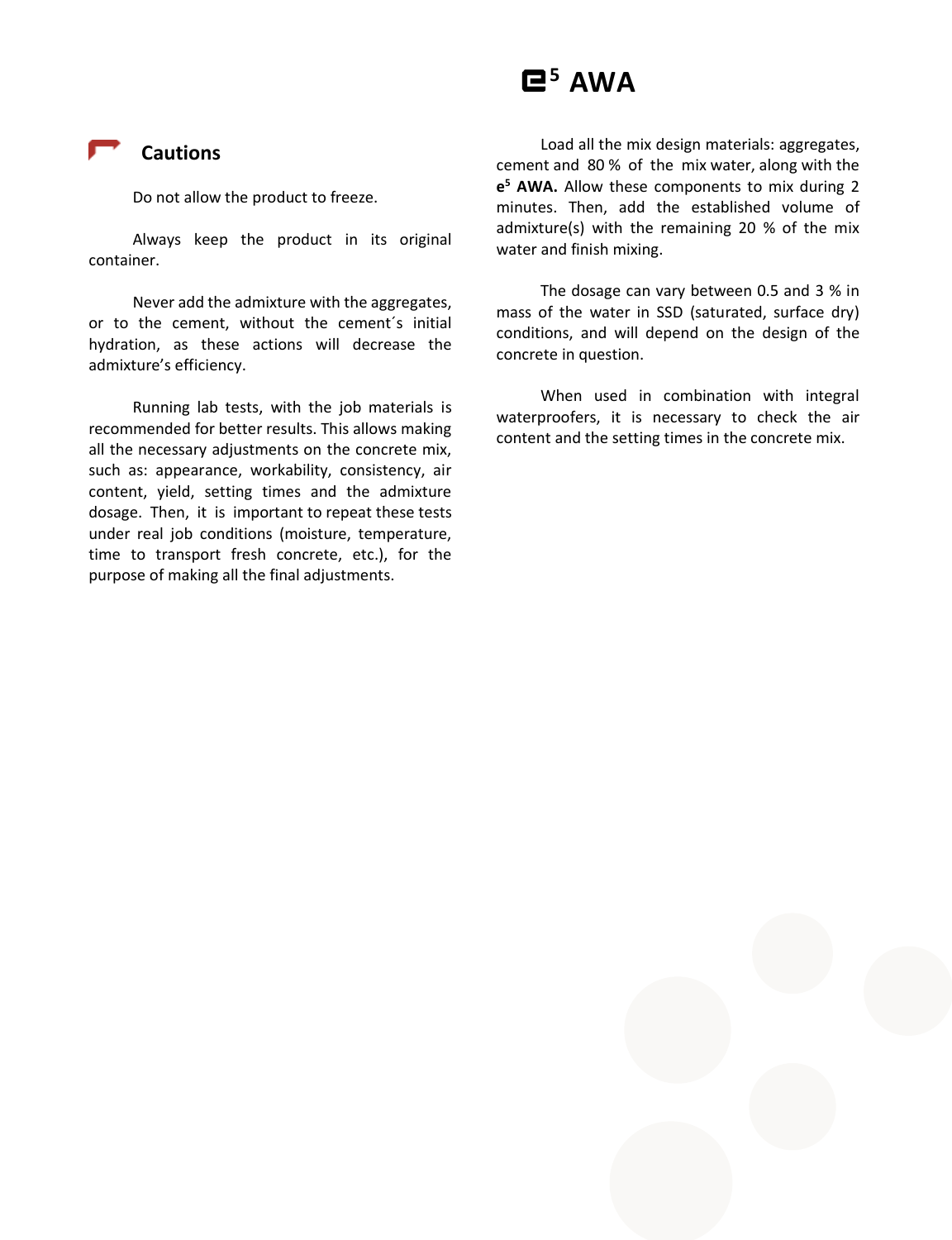# **<sup>5</sup> AWA**

### **Cautions**

Do not allow the product to freeze.

Always keep the product in its original container.

Never add the admixture with the aggregates, or to the cement, without the cement´s initial hydration, as these actions will decrease the admixture's efficiency.

Running lab tests, with the job materials is recommended for better results. This allows making all the necessary adjustments on the concrete mix, such as: appearance, workability, consistency, air content, yield, setting times and the admixture dosage. Then, it is important to repeat these tests under real job conditions (moisture, temperature, time to transport fresh concrete, etc.), for the purpose of making all the final adjustments.

Load all the mix design materials: aggregates, cement and 80 % of the mix water, along with the **e <sup>5</sup> AWA.** Allow these components to mix during 2 minutes. Then, add the established volume of admixture(s) with the remaining 20 % of the mix water and finish mixing.

The dosage can vary between 0.5 and 3 % in mass of the water in SSD (saturated, surface dry) conditions, and will depend on the design of the concrete in question.

When used in combination with integral waterproofers, it is necessary to check the air content and the setting times in the concrete mix.